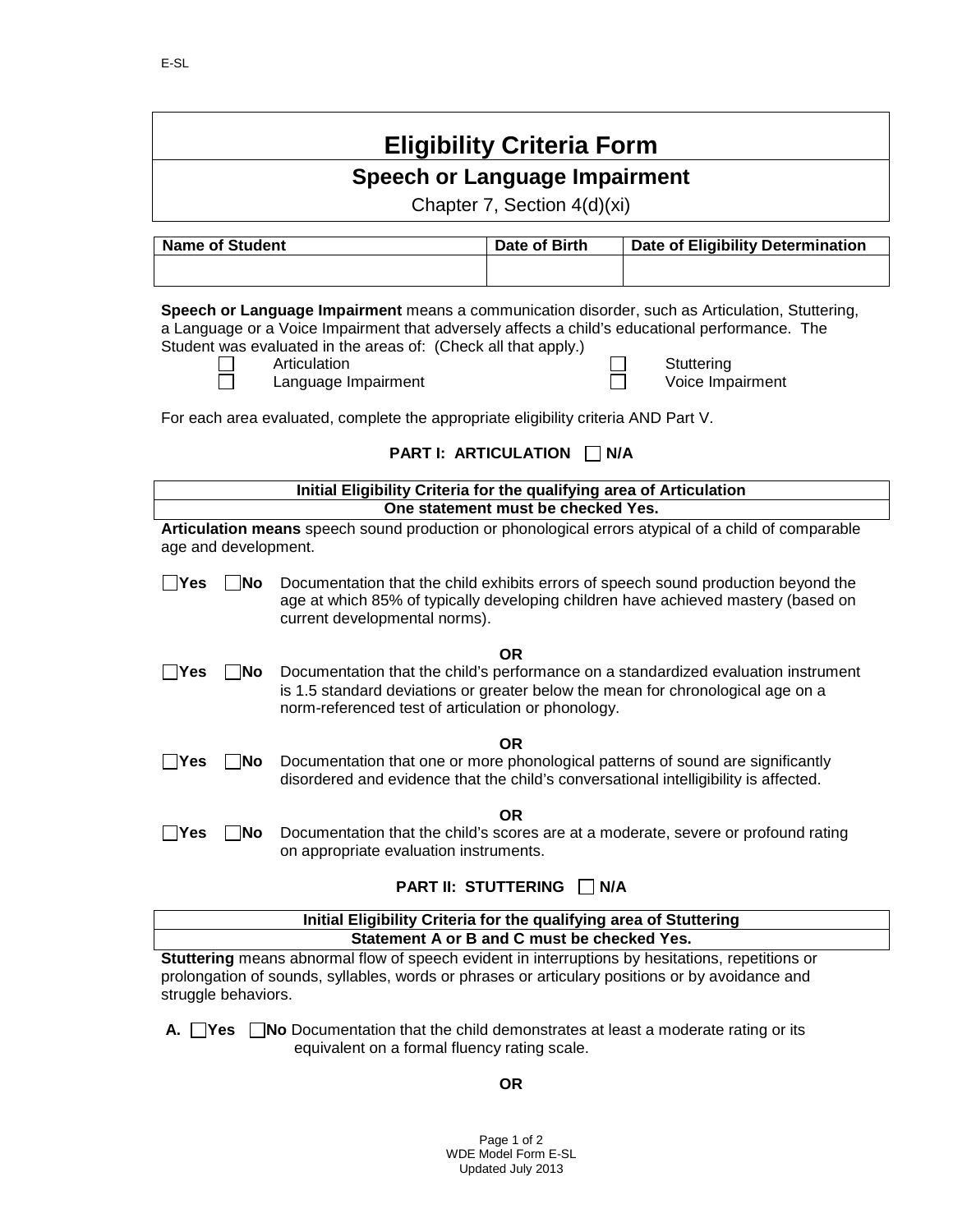| <b>Eligibility Criteria Form</b>                                                                                                                                                                                                                                                                                                                                                                                                   |                                                                                                                                                                                                     |                                    |                                                                                                                                                                         |  |  |  |
|------------------------------------------------------------------------------------------------------------------------------------------------------------------------------------------------------------------------------------------------------------------------------------------------------------------------------------------------------------------------------------------------------------------------------------|-----------------------------------------------------------------------------------------------------------------------------------------------------------------------------------------------------|------------------------------------|-------------------------------------------------------------------------------------------------------------------------------------------------------------------------|--|--|--|
| <b>Speech or Language Impairment</b>                                                                                                                                                                                                                                                                                                                                                                                               |                                                                                                                                                                                                     |                                    |                                                                                                                                                                         |  |  |  |
| Chapter 7, Section 4(d)(xi)                                                                                                                                                                                                                                                                                                                                                                                                        |                                                                                                                                                                                                     |                                    |                                                                                                                                                                         |  |  |  |
| <b>Name of Student</b><br>Date of Birth<br><b>Date of Eligibility Determination</b>                                                                                                                                                                                                                                                                                                                                                |                                                                                                                                                                                                     |                                    |                                                                                                                                                                         |  |  |  |
|                                                                                                                                                                                                                                                                                                                                                                                                                                    |                                                                                                                                                                                                     |                                    |                                                                                                                                                                         |  |  |  |
| Speech or Language Impairment means a communication disorder, such as Articulation, Stuttering,<br>a Language or a Voice Impairment that adversely affects a child's educational performance. The<br>Student was evaluated in the areas of: (Check all that apply.)<br>Articulation<br>Stuttering<br>Voice Impairment<br>Language Impairment<br>For each area evaluated, complete the appropriate eligibility criteria AND Part V. |                                                                                                                                                                                                     |                                    |                                                                                                                                                                         |  |  |  |
| <b>PART I: ARTICULATION</b><br>N/A                                                                                                                                                                                                                                                                                                                                                                                                 |                                                                                                                                                                                                     |                                    |                                                                                                                                                                         |  |  |  |
| Initial Eligibility Criteria for the qualifying area of Articulation                                                                                                                                                                                                                                                                                                                                                               |                                                                                                                                                                                                     |                                    |                                                                                                                                                                         |  |  |  |
|                                                                                                                                                                                                                                                                                                                                                                                                                                    |                                                                                                                                                                                                     | One statement must be checked Yes. |                                                                                                                                                                         |  |  |  |
| age and development.                                                                                                                                                                                                                                                                                                                                                                                                               |                                                                                                                                                                                                     |                                    | Articulation means speech sound production or phonological errors atypical of a child of comparable                                                                     |  |  |  |
| $\exists$ Yes<br> No                                                                                                                                                                                                                                                                                                                                                                                                               | current developmental norms).                                                                                                                                                                       |                                    | Documentation that the child exhibits errors of speech sound production beyond the<br>age at which 85% of typically developing children have achieved mastery (based on |  |  |  |
| ∣Yes<br>∣No                                                                                                                                                                                                                                                                                                                                                                                                                        | norm-referenced test of articulation or phonology.                                                                                                                                                  | <b>OR</b>                          | Documentation that the child's performance on a standardized evaluation instrument<br>is 1.5 standard deviations or greater below the mean for chronological age on a   |  |  |  |
| ∣No<br>∣Yes                                                                                                                                                                                                                                                                                                                                                                                                                        | disordered and evidence that the child's conversational intelligibility is affected.                                                                                                                | <b>OR</b>                          | Documentation that one or more phonological patterns of sound are significantly                                                                                         |  |  |  |
| ∣ ∣Yes<br> No                                                                                                                                                                                                                                                                                                                                                                                                                      | on appropriate evaluation instruments.                                                                                                                                                              | OR                                 | Documentation that the child's scores are at a moderate, severe or profound rating                                                                                      |  |  |  |
| <b>PART II: STUTTERING</b><br>$\mathsf{I}$ $\mathsf{I}$ N/A                                                                                                                                                                                                                                                                                                                                                                        |                                                                                                                                                                                                     |                                    |                                                                                                                                                                         |  |  |  |
| Initial Eligibility Criteria for the qualifying area of Stuttering                                                                                                                                                                                                                                                                                                                                                                 |                                                                                                                                                                                                     |                                    |                                                                                                                                                                         |  |  |  |
| Statement A or B and C must be checked Yes.                                                                                                                                                                                                                                                                                                                                                                                        |                                                                                                                                                                                                     |                                    |                                                                                                                                                                         |  |  |  |
| struggle behaviors.                                                                                                                                                                                                                                                                                                                                                                                                                | Stuttering means abnormal flow of speech evident in interruptions by hesitations, repetitions or<br>prolongation of sounds, syllables, words or phrases or articulary positions or by avoidance and |                                    |                                                                                                                                                                         |  |  |  |

**A.**  $\Box$  **Yes**  $\Box$  **No** Documentation that the child demonstrates at least a moderate rating or its equivalent on a formal fluency rating scale.

**OR**